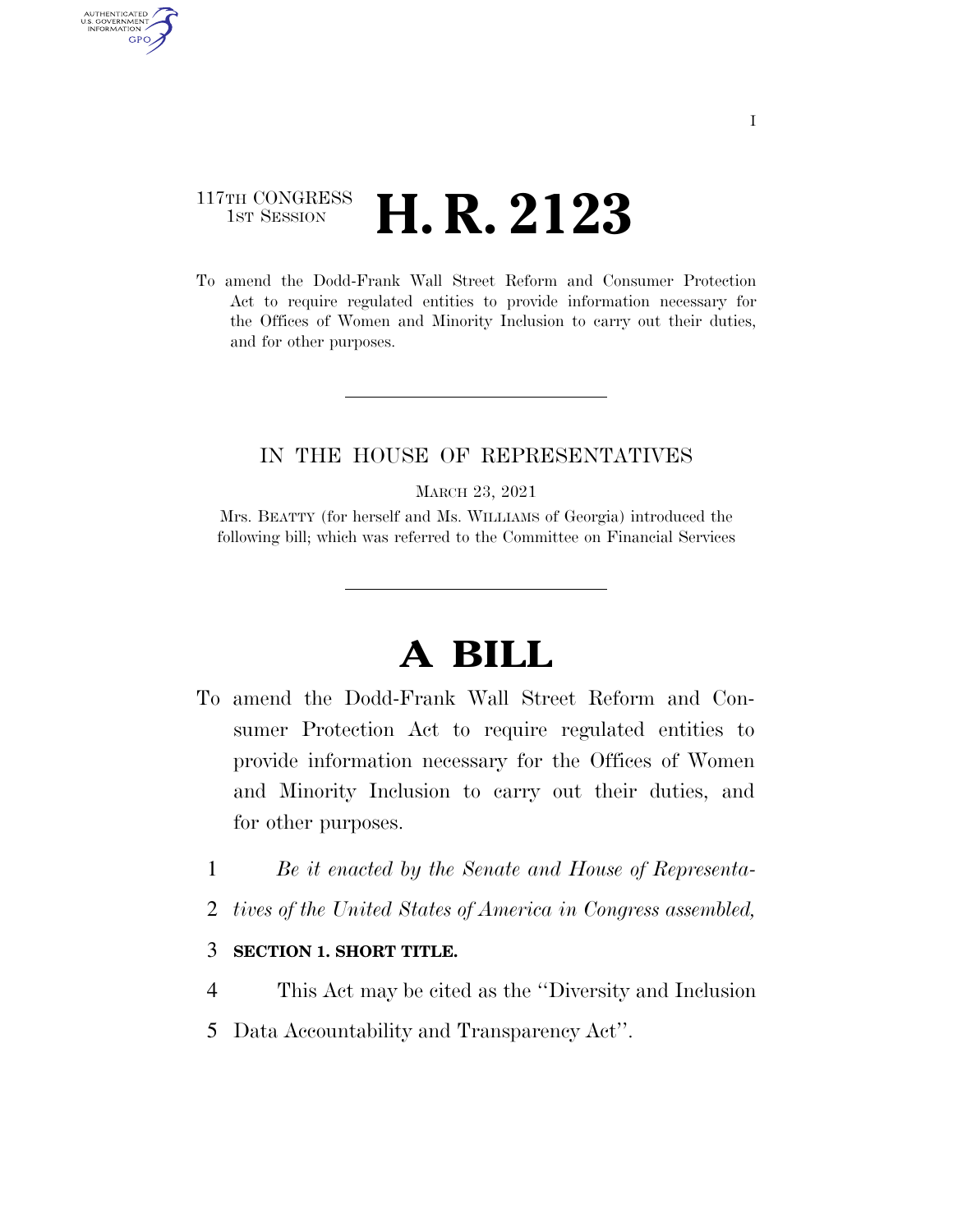## 117TH CONGRESS <sup>TH CONGRESS</sup> **H. R. 2123**

AUTHENTICATED U.S. GOVERNMENT **GPO** 

> To amend the Dodd-Frank Wall Street Reform and Consumer Protection Act to require regulated entities to provide information necessary for the Offices of Women and Minority Inclusion to carry out their duties, and for other purposes.

### IN THE HOUSE OF REPRESENTATIVES

MARCH 23, 2021

Mrs. BEATTY (for herself and Ms. WILLIAMS of Georgia) introduced the following bill; which was referred to the Committee on Financial Services

# **A BILL**

- To amend the Dodd-Frank Wall Street Reform and Consumer Protection Act to require regulated entities to provide information necessary for the Offices of Women and Minority Inclusion to carry out their duties, and for other purposes.
	- 1 *Be it enacted by the Senate and House of Representa-*
	- 2 *tives of the United States of America in Congress assembled,*

### 3 **SECTION 1. SHORT TITLE.**

- 4 This Act may be cited as the ''Diversity and Inclusion
- 5 Data Accountability and Transparency Act''.